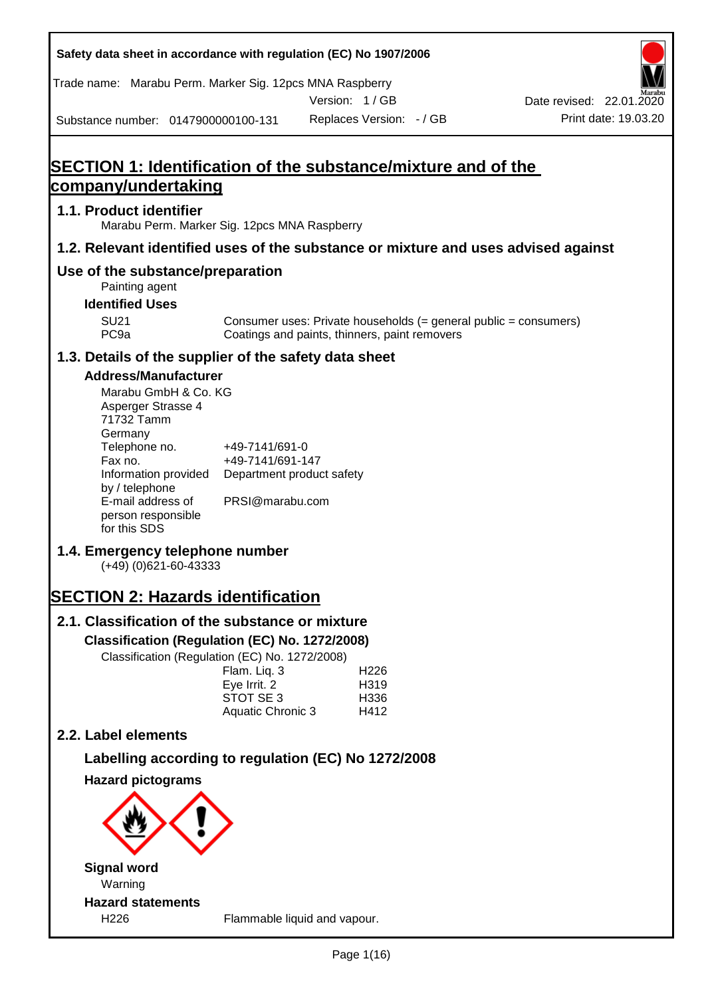| Safety data sheet in accordance with regulation (EC) No 1907/2006                  |                                                                 |                                                                                                                   |                          |
|------------------------------------------------------------------------------------|-----------------------------------------------------------------|-------------------------------------------------------------------------------------------------------------------|--------------------------|
| Trade name: Marabu Perm. Marker Sig. 12pcs MNA Raspberry                           |                                                                 | Version: 1/GB                                                                                                     | Date revised: 22.01.2020 |
| Substance number: 0147900000100-131                                                |                                                                 | Replaces Version: - / GB                                                                                          | Print date: 19.03.20     |
|                                                                                    |                                                                 |                                                                                                                   |                          |
| <b>SECTION 1: Identification of the substance/mixture and of the</b>               |                                                                 |                                                                                                                   |                          |
| company/undertaking                                                                |                                                                 |                                                                                                                   |                          |
| 1.1. Product identifier<br>Marabu Perm. Marker Sig. 12pcs MNA Raspberry            |                                                                 |                                                                                                                   |                          |
| 1.2. Relevant identified uses of the substance or mixture and uses advised against |                                                                 |                                                                                                                   |                          |
| Use of the substance/preparation<br>Painting agent                                 |                                                                 |                                                                                                                   |                          |
| <b>Identified Uses</b>                                                             |                                                                 |                                                                                                                   |                          |
| <b>SU21</b><br>PC <sub>9a</sub>                                                    |                                                                 | Consumer uses: Private households (= general public = consumers)<br>Coatings and paints, thinners, paint removers |                          |
| 1.3. Details of the supplier of the safety data sheet                              |                                                                 |                                                                                                                   |                          |
| <b>Address/Manufacturer</b>                                                        |                                                                 |                                                                                                                   |                          |
| Marabu GmbH & Co. KG<br>Asperger Strasse 4<br>71732 Tamm<br>Germany                |                                                                 |                                                                                                                   |                          |
| Telephone no.<br>Fax no.<br>Information provided<br>by / telephone                 | +49-7141/691-0<br>+49-7141/691-147<br>Department product safety |                                                                                                                   |                          |
| E-mail address of<br>person responsible<br>for this SDS                            | PRSI@marabu.com                                                 |                                                                                                                   |                          |
| 1.4. Emergency telephone number<br>$(+49)$ (0)621-60-43333                         |                                                                 |                                                                                                                   |                          |
| <b>SECTION 2: Hazards identification</b>                                           |                                                                 |                                                                                                                   |                          |
| 2.1. Classification of the substance or mixture                                    |                                                                 |                                                                                                                   |                          |
| Classification (Regulation (EC) No. 1272/2008)                                     |                                                                 |                                                                                                                   |                          |
| Classification (Regulation (EC) No. 1272/2008)                                     | Flam. Liq. 3                                                    | H <sub>226</sub>                                                                                                  |                          |
|                                                                                    | Eye Irrit. 2                                                    | H319                                                                                                              |                          |
|                                                                                    | STOT SE 3<br>Aquatic Chronic 3                                  | H336<br>H412                                                                                                      |                          |
| 2.2. Label elements                                                                |                                                                 |                                                                                                                   |                          |
| Labelling according to regulation (EC) No 1272/2008                                |                                                                 |                                                                                                                   |                          |
| <b>Hazard pictograms</b>                                                           |                                                                 |                                                                                                                   |                          |
|                                                                                    |                                                                 |                                                                                                                   |                          |
| <b>Signal word</b><br>Warning                                                      |                                                                 |                                                                                                                   |                          |
| <b>Hazard statements</b><br>H <sub>226</sub>                                       |                                                                 | Flammable liquid and vapour.                                                                                      |                          |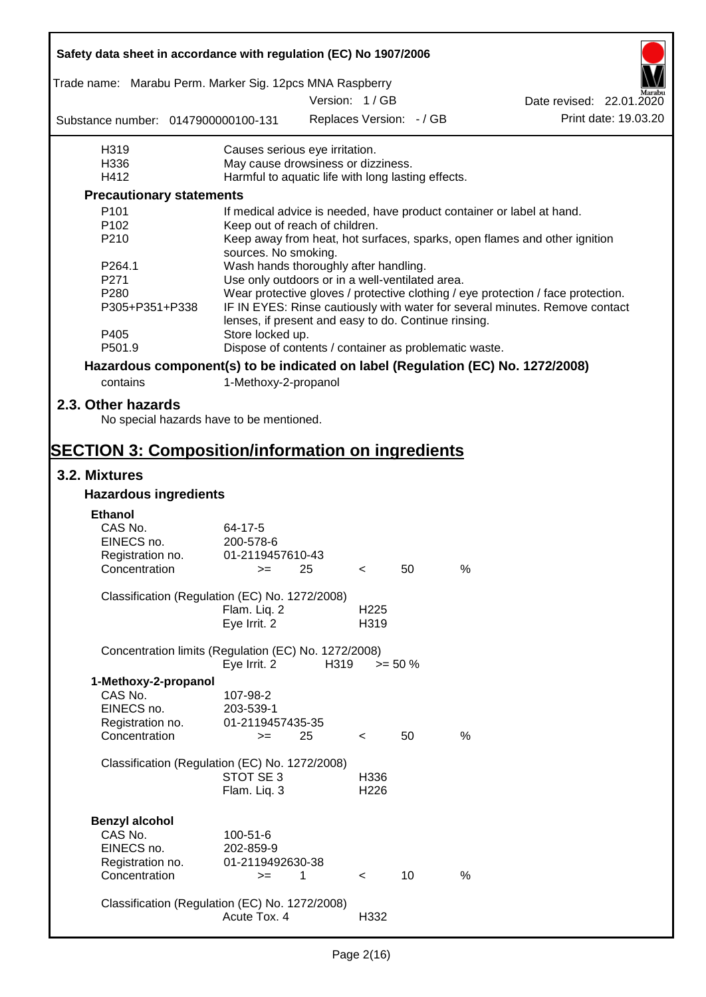| Safety data sheet in accordance with regulation (EC) No 1907/2006               |                                                       |               |                          |                          |      |                                                                                  |
|---------------------------------------------------------------------------------|-------------------------------------------------------|---------------|--------------------------|--------------------------|------|----------------------------------------------------------------------------------|
| Trade name: Marabu Perm. Marker Sig. 12pcs MNA Raspberry                        |                                                       | Version: 1/GB |                          |                          |      | Date revised: 22.01.2020                                                         |
| Substance number: 0147900000100-131                                             |                                                       |               |                          | Replaces Version: - / GB |      | Print date: 19.03.20                                                             |
| H319                                                                            | Causes serious eye irritation.                        |               |                          |                          |      |                                                                                  |
| H336                                                                            | May cause drowsiness or dizziness.                    |               |                          |                          |      |                                                                                  |
| H412                                                                            | Harmful to aquatic life with long lasting effects.    |               |                          |                          |      |                                                                                  |
| <b>Precautionary statements</b>                                                 |                                                       |               |                          |                          |      |                                                                                  |
| P101                                                                            |                                                       |               |                          |                          |      | If medical advice is needed, have product container or label at hand.            |
| P <sub>102</sub>                                                                | Keep out of reach of children.                        |               |                          |                          |      |                                                                                  |
| P210                                                                            | sources. No smoking.                                  |               |                          |                          |      | Keep away from heat, hot surfaces, sparks, open flames and other ignition        |
| P264.1                                                                          | Wash hands thoroughly after handling.                 |               |                          |                          |      |                                                                                  |
| P271                                                                            | Use only outdoors or in a well-ventilated area.       |               |                          |                          |      |                                                                                  |
| P280                                                                            |                                                       |               |                          |                          |      | Wear protective gloves / protective clothing / eye protection / face protection. |
| P305+P351+P338                                                                  | lenses, if present and easy to do. Continue rinsing.  |               |                          |                          |      | IF IN EYES: Rinse cautiously with water for several minutes. Remove contact      |
| P405                                                                            | Store locked up.                                      |               |                          |                          |      |                                                                                  |
| P501.9                                                                          | Dispose of contents / container as problematic waste. |               |                          |                          |      |                                                                                  |
| Hazardous component(s) to be indicated on label (Regulation (EC) No. 1272/2008) |                                                       |               |                          |                          |      |                                                                                  |
| contains                                                                        | 1-Methoxy-2-propanol                                  |               |                          |                          |      |                                                                                  |
| 2.3. Other hazards<br>No special hazards have to be mentioned.                  |                                                       |               |                          |                          |      |                                                                                  |
|                                                                                 |                                                       |               |                          |                          |      |                                                                                  |
| <b>SECTION 3: Composition/information on ingredients</b>                        |                                                       |               |                          |                          |      |                                                                                  |
| 3.2. Mixtures<br><b>Hazardous ingredients</b>                                   |                                                       |               |                          |                          |      |                                                                                  |
|                                                                                 |                                                       |               |                          |                          |      |                                                                                  |
| <b>Ethanol</b>                                                                  |                                                       |               |                          |                          |      |                                                                                  |
| CAS No.<br>EINECS no.                                                           | 64-17-5<br>200-578-6                                  |               |                          |                          |      |                                                                                  |
| Registration no.                                                                | 01-2119457610-43                                      |               |                          |                          |      |                                                                                  |
| Concentration                                                                   |                                                       | 25            |                          | 50                       | %    |                                                                                  |
| Classification (Regulation (EC) No. 1272/2008)                                  |                                                       |               |                          |                          |      |                                                                                  |
|                                                                                 | Flam. Liq. 2<br>Eye Irrit. 2                          |               | H <sub>225</sub><br>H319 |                          |      |                                                                                  |
| Concentration limits (Regulation (EC) No. 1272/2008)                            |                                                       |               |                          |                          |      |                                                                                  |
|                                                                                 | Eye Irrit. 2                                          | H319          |                          | $>= 50 %$                |      |                                                                                  |
| 1-Methoxy-2-propanol                                                            |                                                       |               |                          |                          |      |                                                                                  |
| CAS No.                                                                         | 107-98-2                                              |               |                          |                          |      |                                                                                  |
| EINECS no.                                                                      | 203-539-1                                             |               |                          |                          |      |                                                                                  |
| Registration no.                                                                | 01-2119457435-35                                      |               |                          |                          |      |                                                                                  |
| Concentration                                                                   | $>=$                                                  | 25            | $\,<\,$                  | 50                       | %    |                                                                                  |
|                                                                                 |                                                       |               |                          |                          |      |                                                                                  |
| Classification (Regulation (EC) No. 1272/2008)                                  | STOT SE 3                                             |               | H336                     |                          |      |                                                                                  |
|                                                                                 | Flam. Liq. 3                                          |               | H <sub>226</sub>         |                          |      |                                                                                  |
|                                                                                 |                                                       |               |                          |                          |      |                                                                                  |
| <b>Benzyl alcohol</b>                                                           |                                                       |               |                          |                          |      |                                                                                  |
| CAS No.                                                                         | 100-51-6                                              |               |                          |                          |      |                                                                                  |
| EINECS no.                                                                      | 202-859-9                                             |               |                          |                          |      |                                                                                  |
| Registration no.                                                                | 01-2119492630-38                                      |               |                          |                          |      |                                                                                  |
| Concentration                                                                   | $>=$                                                  | 1             | $\prec$                  | 10                       | $\%$ |                                                                                  |
|                                                                                 |                                                       |               |                          |                          |      |                                                                                  |
| Classification (Regulation (EC) No. 1272/2008)                                  |                                                       |               |                          |                          |      |                                                                                  |
|                                                                                 | Acute Tox. 4                                          |               | H332                     |                          |      |                                                                                  |
|                                                                                 |                                                       |               |                          |                          |      |                                                                                  |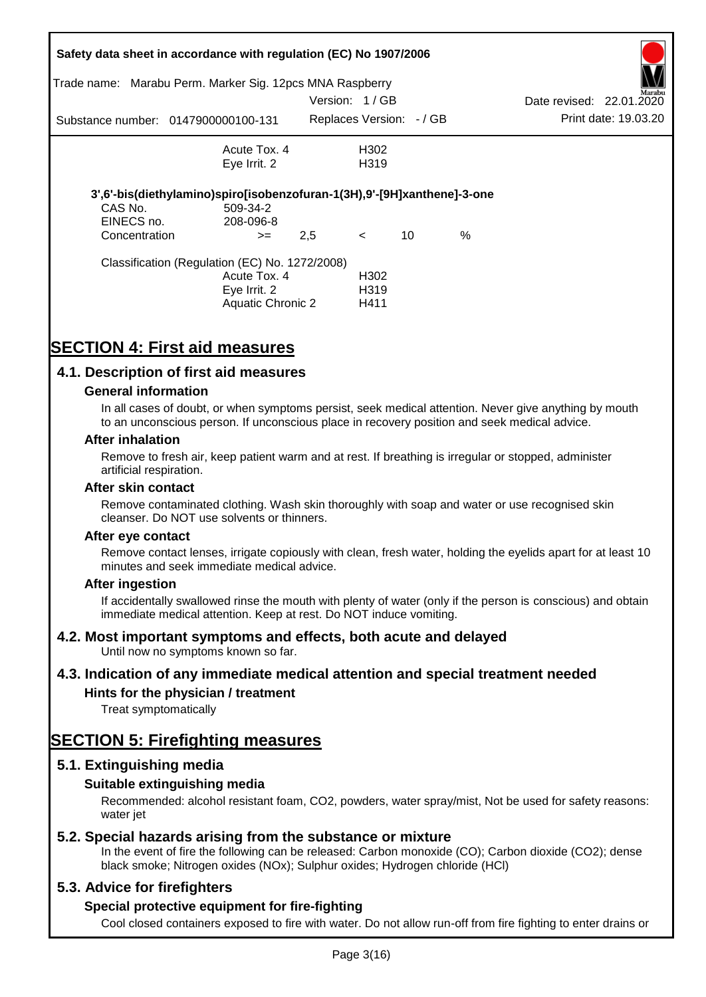|               | Safety data sheet in accordance with regulation (EC) No 1907/2006       |               |                          |    |      |                          |                      |
|---------------|-------------------------------------------------------------------------|---------------|--------------------------|----|------|--------------------------|----------------------|
| Trade name:   | Marabu Perm. Marker Sig. 12pcs MNA Raspberry                            |               |                          |    |      |                          | Marabu               |
|               |                                                                         | Version: 1/GB |                          |    |      | Date revised: 22.01.2020 |                      |
|               | Substance number: 0147900000100-131                                     |               | Replaces Version: - / GB |    |      |                          | Print date: 19.03.20 |
|               | Acute Tox. 4                                                            |               | H302                     |    |      |                          |                      |
|               | Eye Irrit. 2                                                            |               | H <sub>3</sub> 19        |    |      |                          |                      |
|               | 3',6'-bis(diethylamino)spiro[isobenzofuran-1(3H),9'-[9H]xanthene]-3-one |               |                          |    |      |                          |                      |
| CAS No.       | 509-34-2                                                                |               |                          |    |      |                          |                      |
| EINECS no.    | 208-096-8                                                               |               |                          |    |      |                          |                      |
| Concentration | $>=$                                                                    | 2,5           | $\lt$                    | 10 | $\%$ |                          |                      |
|               | Classification (Regulation (EC) No. 1272/2008)                          |               |                          |    |      |                          |                      |
|               | Acute Tox. 4                                                            |               | H <sub>302</sub>         |    |      |                          |                      |
|               | Eye Irrit. 2                                                            |               | H <sub>3</sub> 19        |    |      |                          |                      |
|               | Aquatic Chronic 2                                                       |               | H411                     |    |      |                          |                      |

# **SECTION 4: First aid measures**

## **4.1. Description of first aid measures**

#### **General information**

In all cases of doubt, or when symptoms persist, seek medical attention. Never give anything by mouth to an unconscious person. If unconscious place in recovery position and seek medical advice.

#### **After inhalation**

Remove to fresh air, keep patient warm and at rest. If breathing is irregular or stopped, administer artificial respiration.

#### **After skin contact**

Remove contaminated clothing. Wash skin thoroughly with soap and water or use recognised skin cleanser. Do NOT use solvents or thinners.

#### **After eye contact**

Remove contact lenses, irrigate copiously with clean, fresh water, holding the eyelids apart for at least 10 minutes and seek immediate medical advice.

#### **After ingestion**

If accidentally swallowed rinse the mouth with plenty of water (only if the person is conscious) and obtain immediate medical attention. Keep at rest. Do NOT induce vomiting.

## **4.2. Most important symptoms and effects, both acute and delayed**

Until now no symptoms known so far.

## **4.3. Indication of any immediate medical attention and special treatment needed**

## **Hints for the physician / treatment**

Treat symptomatically

# **SECTION 5: Firefighting measures**

## **5.1. Extinguishing media**

## **Suitable extinguishing media**

Recommended: alcohol resistant foam, CO2, powders, water spray/mist, Not be used for safety reasons: water *iet* 

## **5.2. Special hazards arising from the substance or mixture**

In the event of fire the following can be released: Carbon monoxide (CO); Carbon dioxide (CO2); dense black smoke; Nitrogen oxides (NOx); Sulphur oxides; Hydrogen chloride (HCl)

## **5.3. Advice for firefighters**

## **Special protective equipment for fire-fighting**

Cool closed containers exposed to fire with water. Do not allow run-off from fire fighting to enter drains or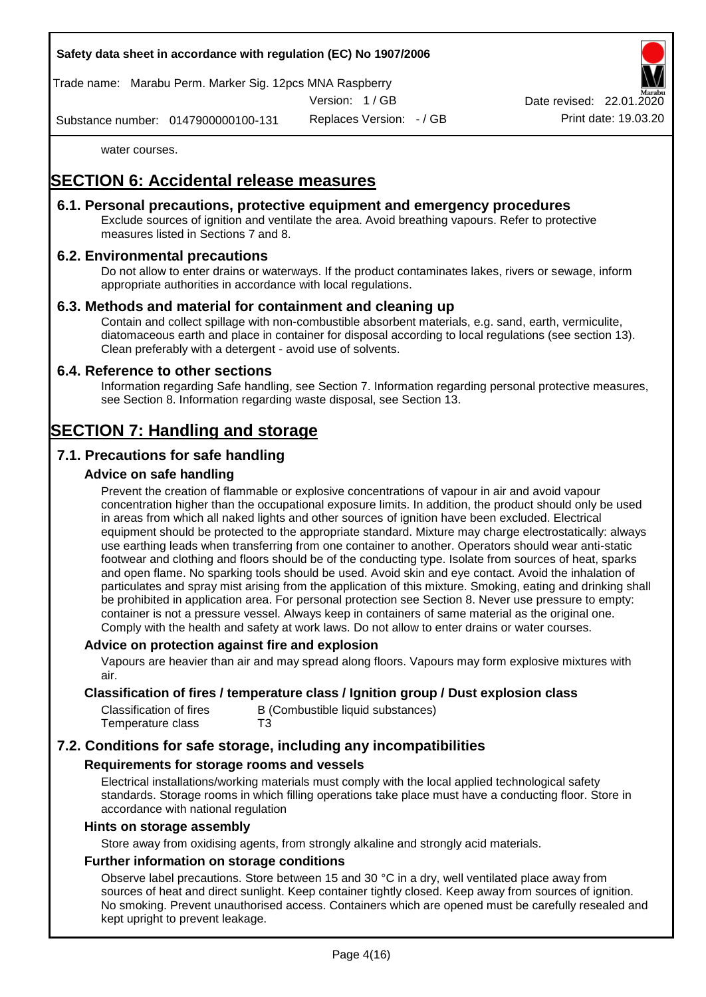Trade name: Marabu Perm. Marker Sig. 12pcs MNA Raspberry

Version: 1 / GB

Replaces Version: - / GB Print date: 19.03.20 Date revised: 22.01.

Substance number: 0147900000100-131

water courses.

# **SECTION 6: Accidental release measures**

## **6.1. Personal precautions, protective equipment and emergency procedures**

Exclude sources of ignition and ventilate the area. Avoid breathing vapours. Refer to protective measures listed in Sections 7 and 8.

## **6.2. Environmental precautions**

Do not allow to enter drains or waterways. If the product contaminates lakes, rivers or sewage, inform appropriate authorities in accordance with local regulations.

#### **6.3. Methods and material for containment and cleaning up**

Contain and collect spillage with non-combustible absorbent materials, e.g. sand, earth, vermiculite, diatomaceous earth and place in container for disposal according to local regulations (see section 13). Clean preferably with a detergent - avoid use of solvents.

#### **6.4. Reference to other sections**

Information regarding Safe handling, see Section 7. Information regarding personal protective measures, see Section 8. Information regarding waste disposal, see Section 13.

# **SECTION 7: Handling and storage**

## **7.1. Precautions for safe handling**

#### **Advice on safe handling**

Prevent the creation of flammable or explosive concentrations of vapour in air and avoid vapour concentration higher than the occupational exposure limits. In addition, the product should only be used in areas from which all naked lights and other sources of ignition have been excluded. Electrical equipment should be protected to the appropriate standard. Mixture may charge electrostatically: always use earthing leads when transferring from one container to another. Operators should wear anti-static footwear and clothing and floors should be of the conducting type. Isolate from sources of heat, sparks and open flame. No sparking tools should be used. Avoid skin and eye contact. Avoid the inhalation of particulates and spray mist arising from the application of this mixture. Smoking, eating and drinking shall be prohibited in application area. For personal protection see Section 8. Never use pressure to empty: container is not a pressure vessel. Always keep in containers of same material as the original one. Comply with the health and safety at work laws. Do not allow to enter drains or water courses.

#### **Advice on protection against fire and explosion**

Vapours are heavier than air and may spread along floors. Vapours may form explosive mixtures with air.

### **Classification of fires / temperature class / Ignition group / Dust explosion class**

| Classification of fires | B (Combustible liquid substances) |
|-------------------------|-----------------------------------|
| Temperature class       | T3                                |

## **7.2. Conditions for safe storage, including any incompatibilities**

#### **Requirements for storage rooms and vessels**

Electrical installations/working materials must comply with the local applied technological safety standards. Storage rooms in which filling operations take place must have a conducting floor. Store in accordance with national regulation

#### **Hints on storage assembly**

Store away from oxidising agents, from strongly alkaline and strongly acid materials.

## **Further information on storage conditions**

Observe label precautions. Store between 15 and 30 °C in a dry, well ventilated place away from sources of heat and direct sunlight. Keep container tightly closed. Keep away from sources of ignition. No smoking. Prevent unauthorised access. Containers which are opened must be carefully resealed and kept upright to prevent leakage.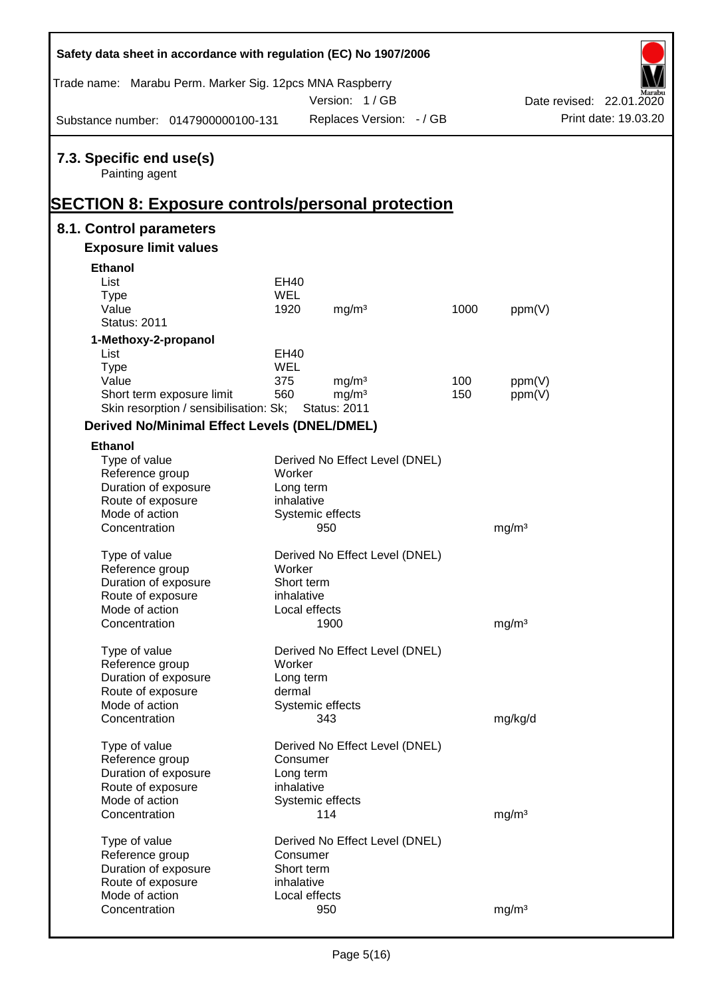| Safety data sheet in accordance with regulation (EC) No 1907/2006                                      |             |                                |      |                   |                          |
|--------------------------------------------------------------------------------------------------------|-------------|--------------------------------|------|-------------------|--------------------------|
| Trade name: Marabu Perm. Marker Sig. 12pcs MNA Raspberry                                               |             | Version: 1/GB                  |      |                   | Date revised: 22.01.2020 |
| Substance number: 0147900000100-131                                                                    |             | Replaces Version: - / GB       |      |                   | Print date: 19.03.20     |
| 7.3. Specific end use(s)<br>Painting agent<br><u> SECTION 8: Exposure controls/personal protection</u> |             |                                |      |                   |                          |
| 8.1. Control parameters                                                                                |             |                                |      |                   |                          |
| <b>Exposure limit values</b>                                                                           |             |                                |      |                   |                          |
| <b>Ethanol</b>                                                                                         |             |                                |      |                   |                          |
| List                                                                                                   | <b>EH40</b> |                                |      |                   |                          |
| <b>Type</b>                                                                                            | <b>WEL</b>  |                                |      |                   |                          |
| Value                                                                                                  | 1920        | mg/m <sup>3</sup>              | 1000 | ppm(V)            |                          |
| <b>Status: 2011</b>                                                                                    |             |                                |      |                   |                          |
| 1-Methoxy-2-propanol                                                                                   |             |                                |      |                   |                          |
| List                                                                                                   | <b>EH40</b> |                                |      |                   |                          |
| <b>Type</b>                                                                                            | <b>WEL</b>  |                                |      |                   |                          |
| Value                                                                                                  | 375         | mg/m <sup>3</sup>              | 100  | ppm(V)            |                          |
| Short term exposure limit                                                                              | 560         | mg/m <sup>3</sup>              | 150  | ppm(V)            |                          |
| Skin resorption / sensibilisation: Sk;                                                                 |             | <b>Status: 2011</b>            |      |                   |                          |
| <b>Derived No/Minimal Effect Levels (DNEL/DMEL)</b>                                                    |             |                                |      |                   |                          |
| <b>Ethanol</b>                                                                                         |             |                                |      |                   |                          |
| Type of value                                                                                          |             | Derived No Effect Level (DNEL) |      |                   |                          |
| Reference group                                                                                        | Worker      |                                |      |                   |                          |
| Duration of exposure                                                                                   | Long term   |                                |      |                   |                          |
| Route of exposure                                                                                      | inhalative  |                                |      |                   |                          |
| Mode of action                                                                                         |             | Systemic effects               |      |                   |                          |
| Concentration                                                                                          |             | 950                            |      | mg/m <sup>3</sup> |                          |
| Type of value                                                                                          |             | Derived No Effect Level (DNEL) |      |                   |                          |
| Reference group                                                                                        | Worker      |                                |      |                   |                          |
| Duration of exposure                                                                                   | Short term  |                                |      |                   |                          |
| Route of exposure                                                                                      | inhalative  |                                |      |                   |                          |
| Mode of action                                                                                         |             | Local effects                  |      |                   |                          |
| Concentration                                                                                          |             | 1900                           |      | mg/m <sup>3</sup> |                          |
|                                                                                                        |             |                                |      |                   |                          |
| Type of value                                                                                          |             | Derived No Effect Level (DNEL) |      |                   |                          |
| Reference group                                                                                        | Worker      |                                |      |                   |                          |
| Duration of exposure                                                                                   | Long term   |                                |      |                   |                          |
| Route of exposure                                                                                      | dermal      |                                |      |                   |                          |
| Mode of action                                                                                         |             | Systemic effects               |      |                   |                          |
| Concentration                                                                                          |             | 343                            |      | mg/kg/d           |                          |
| Type of value                                                                                          |             | Derived No Effect Level (DNEL) |      |                   |                          |
| Reference group                                                                                        | Consumer    |                                |      |                   |                          |
| Duration of exposure                                                                                   | Long term   |                                |      |                   |                          |
| Route of exposure                                                                                      | inhalative  |                                |      |                   |                          |
| Mode of action                                                                                         |             | Systemic effects               |      |                   |                          |
| Concentration                                                                                          |             | 114                            |      | mg/m <sup>3</sup> |                          |
|                                                                                                        |             |                                |      |                   |                          |
| Type of value                                                                                          |             | Derived No Effect Level (DNEL) |      |                   |                          |
| Reference group                                                                                        | Consumer    |                                |      |                   |                          |
| Duration of exposure                                                                                   | Short term  |                                |      |                   |                          |
| Route of exposure                                                                                      | inhalative  |                                |      |                   |                          |
| Mode of action                                                                                         |             | Local effects                  |      |                   |                          |
| Concentration                                                                                          |             | 950                            |      | mg/m <sup>3</sup> |                          |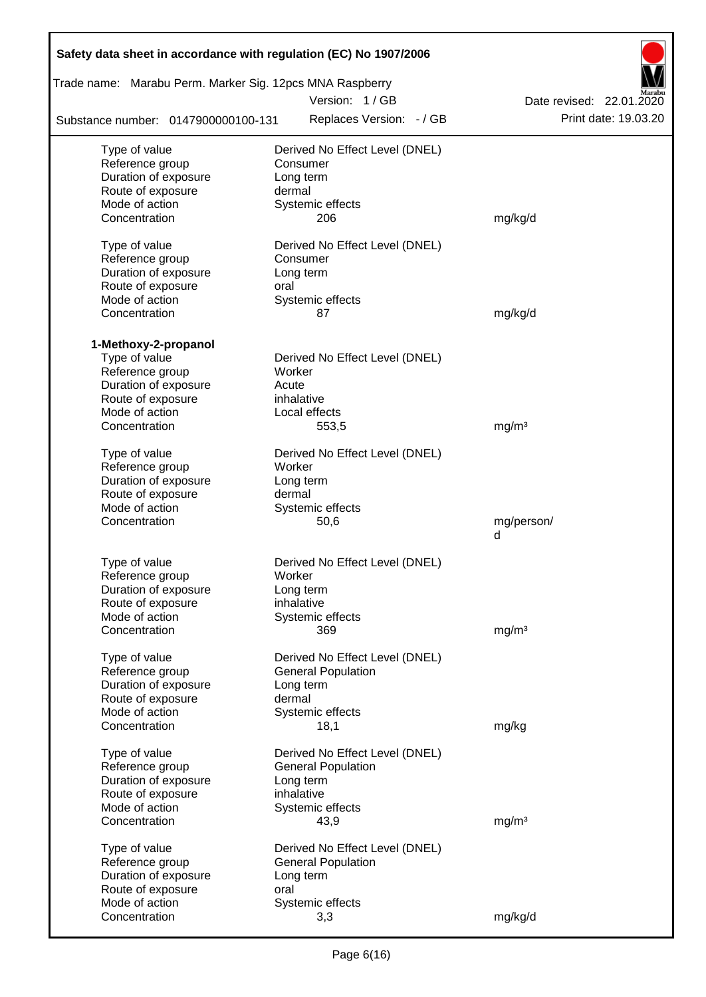| Safety data sheet in accordance with regulation (EC) No 1907/2006 |                                |                          |
|-------------------------------------------------------------------|--------------------------------|--------------------------|
| Trade name: Marabu Perm. Marker Sig. 12pcs MNA Raspberry          |                                |                          |
|                                                                   | Version: 1/GB                  | Date revised: 22.01.2020 |
| Substance number: 0147900000100-131                               | Replaces Version: - / GB       | Print date: 19.03.20     |
| Type of value                                                     | Derived No Effect Level (DNEL) |                          |
| Reference group                                                   | Consumer                       |                          |
| Duration of exposure                                              | Long term                      |                          |
| Route of exposure                                                 | dermal                         |                          |
| Mode of action                                                    | Systemic effects               |                          |
| Concentration                                                     | 206                            | mg/kg/d                  |
| Type of value                                                     | Derived No Effect Level (DNEL) |                          |
| Reference group                                                   | Consumer                       |                          |
| Duration of exposure                                              | Long term                      |                          |
| Route of exposure                                                 | oral                           |                          |
| Mode of action                                                    | Systemic effects               |                          |
| Concentration                                                     | 87                             | mg/kg/d                  |
| 1-Methoxy-2-propanol                                              |                                |                          |
| Type of value                                                     | Derived No Effect Level (DNEL) |                          |
| Reference group                                                   | Worker                         |                          |
| Duration of exposure                                              | Acute                          |                          |
| Route of exposure                                                 | inhalative                     |                          |
| Mode of action                                                    | Local effects                  |                          |
| Concentration                                                     | 553,5                          | mg/m <sup>3</sup>        |
| Type of value                                                     | Derived No Effect Level (DNEL) |                          |
| Reference group                                                   | Worker                         |                          |
| Duration of exposure                                              | Long term                      |                          |
| Route of exposure                                                 | dermal                         |                          |
| Mode of action                                                    | Systemic effects               |                          |
| Concentration                                                     | 50,6                           | mg/person/               |
|                                                                   |                                | d                        |
| Type of value                                                     | Derived No Effect Level (DNEL) |                          |
| Reference group                                                   | Worker                         |                          |
| Duration of exposure                                              | Long term                      |                          |
| Route of exposure                                                 | inhalative                     |                          |
| Mode of action                                                    | Systemic effects               |                          |
| Concentration                                                     | 369                            | mg/m <sup>3</sup>        |
| Type of value                                                     | Derived No Effect Level (DNEL) |                          |
| Reference group                                                   | <b>General Population</b>      |                          |
| Duration of exposure                                              | Long term                      |                          |
| Route of exposure                                                 | dermal                         |                          |
| Mode of action                                                    | Systemic effects               |                          |
| Concentration                                                     | 18,1                           | mg/kg                    |
| Type of value                                                     | Derived No Effect Level (DNEL) |                          |
| Reference group                                                   | <b>General Population</b>      |                          |
| Duration of exposure                                              | Long term                      |                          |
| Route of exposure                                                 | inhalative                     |                          |
| Mode of action                                                    | Systemic effects               |                          |
| Concentration                                                     | 43,9                           | mg/m <sup>3</sup>        |
| Type of value                                                     | Derived No Effect Level (DNEL) |                          |
| Reference group                                                   | <b>General Population</b>      |                          |
| Duration of exposure                                              | Long term                      |                          |
| Route of exposure                                                 | oral                           |                          |
| Mode of action                                                    | Systemic effects               |                          |
| Concentration                                                     | 3,3                            | mg/kg/d                  |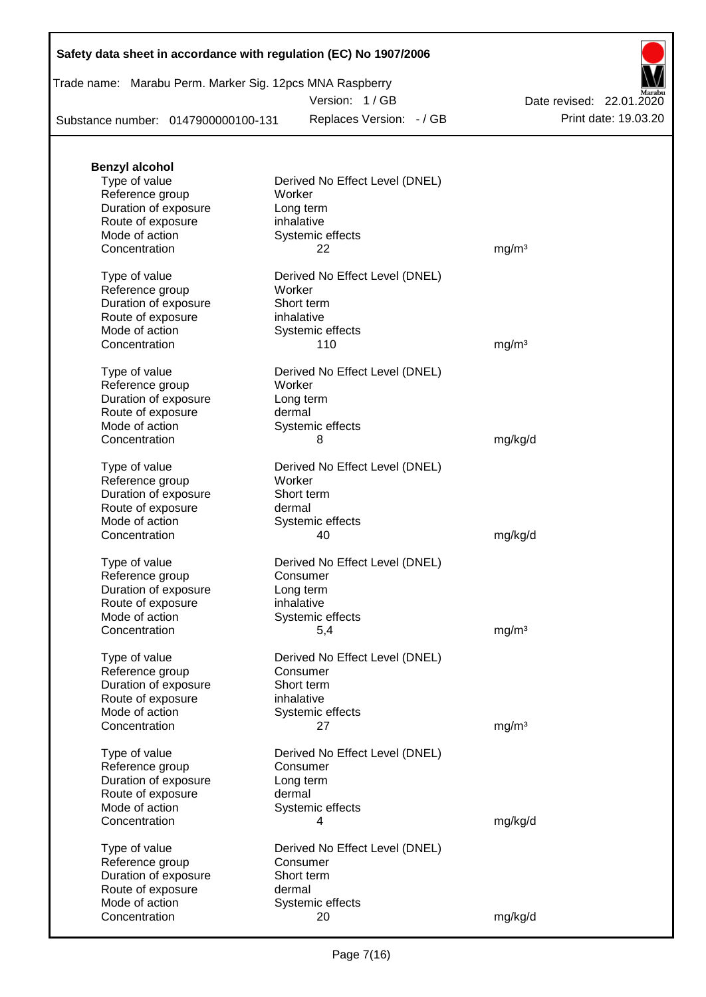Trade name: Marabu Perm. Marker Sig. 12pcs MNA Raspberry

Version: 1 / GB

Substance number: 0147900000100-131

Replaces Version: - / GB Print date: 19.03.20 Date revised: 22.01.2020

| <b>Benzyl alcohol</b> |                                |                   |
|-----------------------|--------------------------------|-------------------|
| Type of value         | Derived No Effect Level (DNEL) |                   |
| Reference group       | Worker                         |                   |
| Duration of exposure  | Long term                      |                   |
| Route of exposure     | inhalative                     |                   |
| Mode of action        | Systemic effects               |                   |
| Concentration         | 22                             | mg/m <sup>3</sup> |
| Type of value         | Derived No Effect Level (DNEL) |                   |
| Reference group       | Worker                         |                   |
| Duration of exposure  | Short term                     |                   |
| Route of exposure     | inhalative                     |                   |
| Mode of action        | Systemic effects               |                   |
| Concentration         | 110                            | mg/m <sup>3</sup> |
|                       |                                |                   |
| Type of value         | Derived No Effect Level (DNEL) |                   |
| Reference group       | Worker                         |                   |
| Duration of exposure  | Long term                      |                   |
| Route of exposure     | dermal                         |                   |
| Mode of action        | Systemic effects               |                   |
| Concentration         | 8                              | mg/kg/d           |
| Type of value         | Derived No Effect Level (DNEL) |                   |
| Reference group       | Worker                         |                   |
| Duration of exposure  | Short term                     |                   |
|                       |                                |                   |
| Route of exposure     | dermal                         |                   |
| Mode of action        | Systemic effects               |                   |
| Concentration         | 40                             | mg/kg/d           |
| Type of value         | Derived No Effect Level (DNEL) |                   |
| Reference group       | Consumer                       |                   |
| Duration of exposure  | Long term                      |                   |
| Route of exposure     | inhalative                     |                   |
| Mode of action        | Systemic effects               |                   |
| Concentration         | 5,4                            | mg/m <sup>3</sup> |
| Type of value         | Derived No Effect Level (DNEL) |                   |
| Reference group       | Consumer                       |                   |
|                       | Short term                     |                   |
| Duration of exposure  | inhalative                     |                   |
| Route of exposure     |                                |                   |
| Mode of action        | Systemic effects               |                   |
| Concentration         | 27                             | mg/m <sup>3</sup> |
| Type of value         | Derived No Effect Level (DNEL) |                   |
| Reference group       | Consumer                       |                   |
| Duration of exposure  | Long term                      |                   |
| Route of exposure     | dermal                         |                   |
| Mode of action        | Systemic effects               |                   |
| Concentration         | 4                              | mg/kg/d           |
|                       |                                |                   |
| Type of value         | Derived No Effect Level (DNEL) |                   |
| Reference group       | Consumer                       |                   |
| Duration of exposure  | Short term                     |                   |
| Route of exposure     | dermal                         |                   |
| Mode of action        | Systemic effects               |                   |
| Concentration         | 20                             | mg/kg/d           |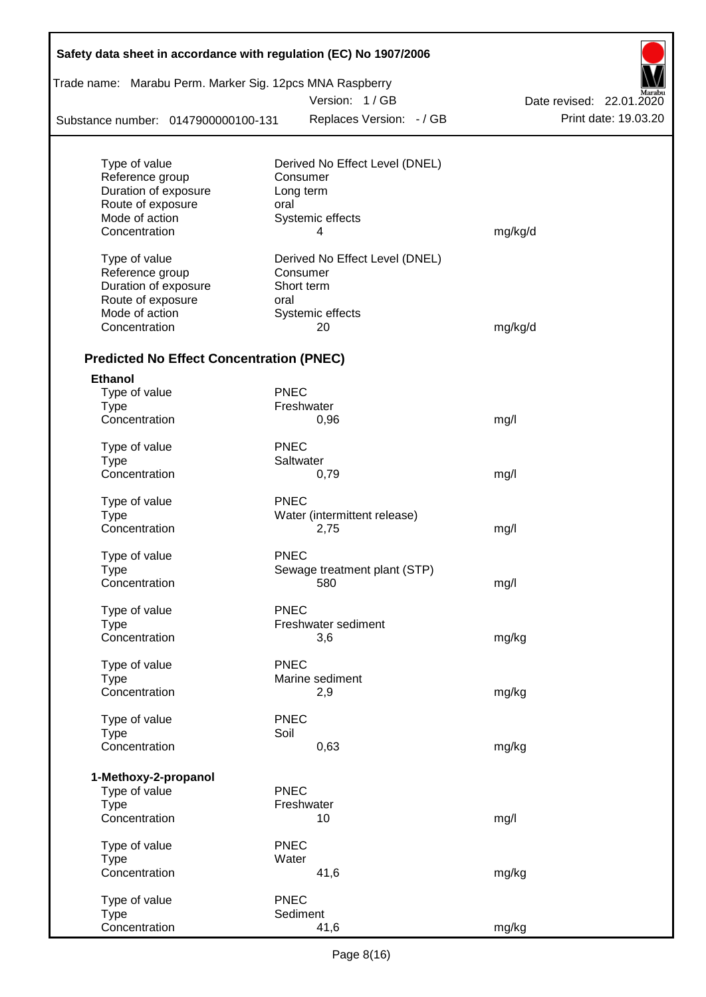| Trade name: Marabu Perm. Marker Sig. 12pcs MNA Raspberry |             |                                |                          |
|----------------------------------------------------------|-------------|--------------------------------|--------------------------|
|                                                          |             | Version: 1/GB                  | Date revised: 22.01.2020 |
| Substance number: 0147900000100-131                      |             | Replaces Version: - / GB       | Print date: 19.03.20     |
| Type of value                                            |             | Derived No Effect Level (DNEL) |                          |
| Reference group                                          |             | Consumer                       |                          |
| Duration of exposure                                     |             | Long term                      |                          |
| Route of exposure                                        | oral        |                                |                          |
| Mode of action                                           |             | Systemic effects               |                          |
| Concentration                                            |             | 4                              | mg/kg/d                  |
| Type of value                                            |             | Derived No Effect Level (DNEL) |                          |
| Reference group                                          |             | Consumer                       |                          |
| Duration of exposure                                     |             | Short term                     |                          |
| Route of exposure                                        | oral        |                                |                          |
| Mode of action                                           |             | Systemic effects               |                          |
| Concentration                                            |             | 20                             | mg/kg/d                  |
| <b>Predicted No Effect Concentration (PNEC)</b>          |             |                                |                          |
| <b>Ethanol</b>                                           |             |                                |                          |
| Type of value                                            | <b>PNEC</b> |                                |                          |
| <b>Type</b>                                              |             | Freshwater                     |                          |
| Concentration                                            |             | 0,96                           | mg/l                     |
| Type of value                                            | <b>PNEC</b> |                                |                          |
| <b>Type</b>                                              |             | Saltwater                      |                          |
| Concentration                                            |             | 0,79                           | mg/l                     |
| Type of value                                            | <b>PNEC</b> |                                |                          |
| <b>Type</b>                                              |             | Water (intermittent release)   |                          |
| Concentration                                            |             | 2,75                           | mg/l                     |
| Type of value                                            | <b>PNEC</b> |                                |                          |
| Type                                                     |             | Sewage treatment plant (STP)   |                          |
| Concentration                                            |             | 580                            | mg/l                     |
| Type of value                                            | <b>PNEC</b> |                                |                          |
| Type                                                     |             | Freshwater sediment            |                          |
| Concentration                                            |             | 3,6                            | mg/kg                    |
| Type of value                                            | <b>PNEC</b> |                                |                          |
| <b>Type</b>                                              |             | Marine sediment                |                          |
| Concentration                                            |             | 2,9                            | mg/kg                    |
| Type of value                                            | <b>PNEC</b> |                                |                          |
| <b>Type</b>                                              | Soil        |                                |                          |
| Concentration                                            |             | 0,63                           | mg/kg                    |
| 1-Methoxy-2-propanol                                     |             |                                |                          |
| Type of value                                            | <b>PNEC</b> |                                |                          |
| <b>Type</b>                                              |             | Freshwater                     |                          |
| Concentration                                            |             | 10                             | mg/l                     |
| Type of value                                            | <b>PNEC</b> |                                |                          |
| <b>Type</b>                                              | Water       |                                |                          |
| Concentration                                            |             | 41,6                           | mg/kg                    |
| Type of value                                            | <b>PNEC</b> |                                |                          |
| <b>Type</b>                                              |             | Sediment                       |                          |
| Concentration                                            |             | 41,6                           | mg/kg                    |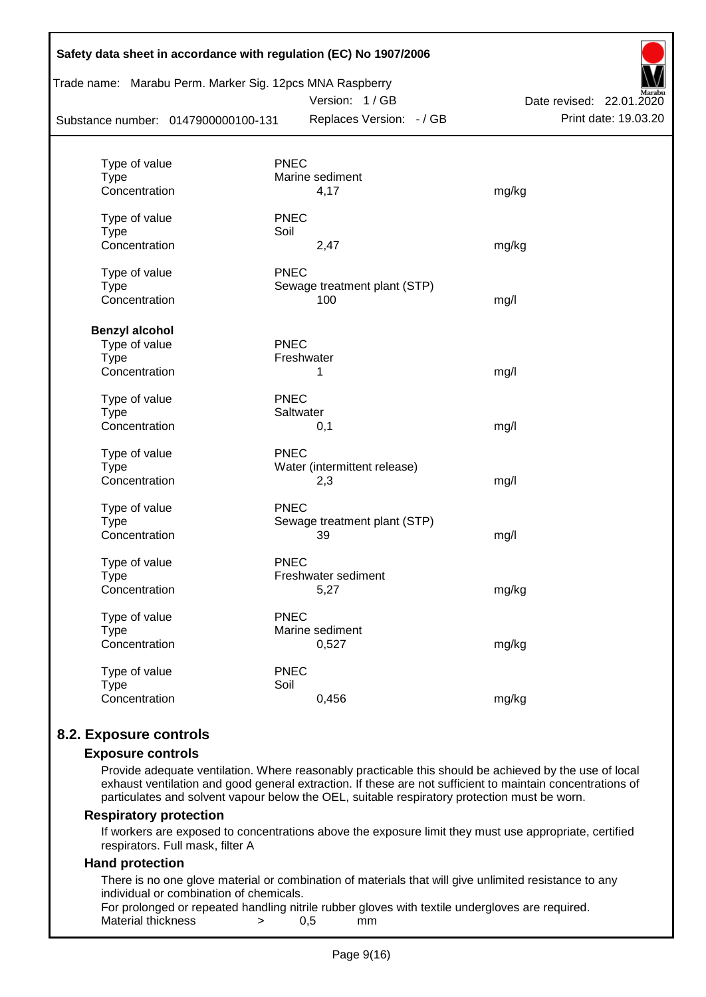|                                     |             | Trade name: Marabu Perm. Marker Sig. 12pcs MNA Raspberry<br>Version: 1/GB | Date revised: 22.01.2020 |
|-------------------------------------|-------------|---------------------------------------------------------------------------|--------------------------|
| Substance number: 0147900000100-131 |             | Replaces Version: - / GB                                                  | Print date: 19.03.20     |
| Type of value                       | <b>PNEC</b> |                                                                           |                          |
| <b>Type</b>                         |             | Marine sediment                                                           |                          |
| Concentration                       |             | 4,17                                                                      | mg/kg                    |
| Type of value                       | <b>PNEC</b> |                                                                           |                          |
| <b>Type</b>                         | Soil        |                                                                           |                          |
| Concentration                       |             | 2,47                                                                      | mg/kg                    |
| Type of value                       | <b>PNEC</b> |                                                                           |                          |
| <b>Type</b>                         |             | Sewage treatment plant (STP)                                              |                          |
| Concentration                       |             | 100                                                                       | mg/l                     |
| <b>Benzyl alcohol</b>               |             |                                                                           |                          |
| Type of value                       | <b>PNEC</b> |                                                                           |                          |
| <b>Type</b>                         |             | Freshwater                                                                |                          |
| Concentration                       |             | 1                                                                         | mg/l                     |
| Type of value                       | <b>PNEC</b> |                                                                           |                          |
| <b>Type</b>                         |             | Saltwater                                                                 |                          |
| Concentration                       |             | 0,1                                                                       | mg/l                     |
| Type of value                       | <b>PNEC</b> |                                                                           |                          |
| <b>Type</b>                         |             | Water (intermittent release)                                              |                          |
| Concentration                       |             | 2,3                                                                       | mg/l                     |
| Type of value                       | <b>PNEC</b> |                                                                           |                          |
| <b>Type</b>                         |             | Sewage treatment plant (STP)                                              |                          |
| Concentration                       |             | 39                                                                        | mg/l                     |
| Type of value                       | <b>PNEC</b> |                                                                           |                          |
| Type                                |             | Freshwater sediment                                                       |                          |
| Concentration                       |             | 5,27                                                                      | mg/kg                    |
| Type of value                       | <b>PNEC</b> |                                                                           |                          |
| <b>Type</b>                         |             | Marine sediment                                                           |                          |
| Concentration                       |             | 0,527                                                                     | mg/kg                    |
| Type of value                       | <b>PNEC</b> |                                                                           |                          |
| <b>Type</b>                         | Soil        |                                                                           |                          |
| Concentration                       |             | 0,456                                                                     | mg/kg                    |

# **8.2. Exposure controls**

#### **Exposure controls**

Provide adequate ventilation. Where reasonably practicable this should be achieved by the use of local exhaust ventilation and good general extraction. If these are not sufficient to maintain concentrations of particulates and solvent vapour below the OEL, suitable respiratory protection must be worn.

#### **Respiratory protection**

If workers are exposed to concentrations above the exposure limit they must use appropriate, certified respirators. Full mask, filter A

#### **Hand protection**

There is no one glove material or combination of materials that will give unlimited resistance to any individual or combination of chemicals.

For prolonged or repeated handling nitrile rubber gloves with textile undergloves are required. Material thickness  $\rightarrow$  0.5 mm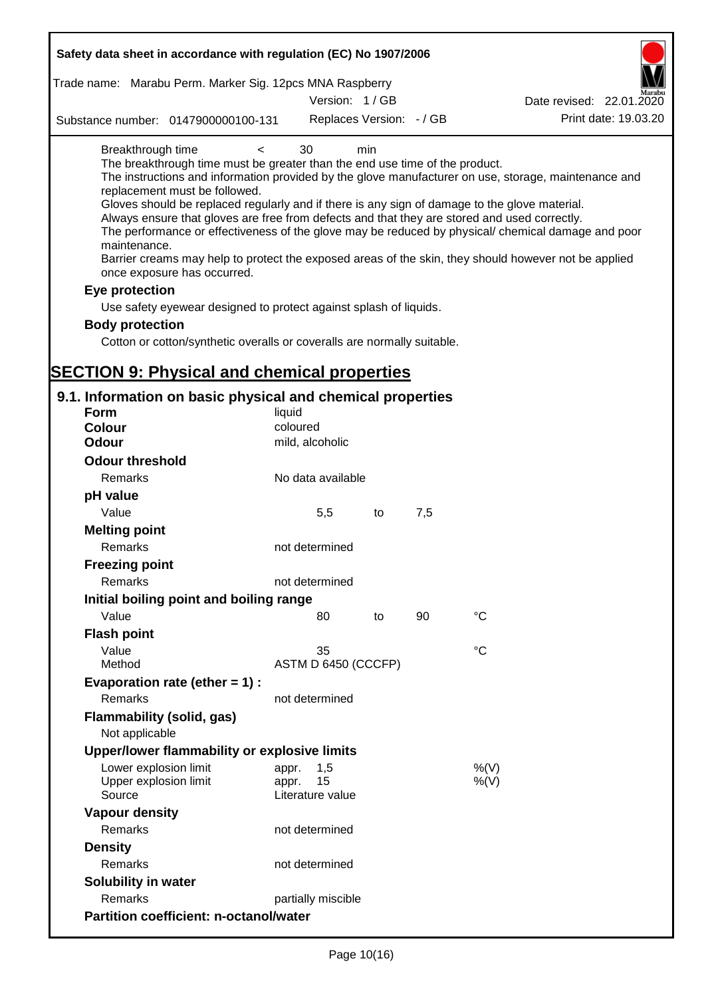| Safety data sheet in accordance with regulation (EC) No 1907/2006                                                                                                                                                                                                                                                                                                                                                                                                                                                                                                                                                                              |                                                 |     |     |                                                                                                                                                                                                                                                                                                                    |
|------------------------------------------------------------------------------------------------------------------------------------------------------------------------------------------------------------------------------------------------------------------------------------------------------------------------------------------------------------------------------------------------------------------------------------------------------------------------------------------------------------------------------------------------------------------------------------------------------------------------------------------------|-------------------------------------------------|-----|-----|--------------------------------------------------------------------------------------------------------------------------------------------------------------------------------------------------------------------------------------------------------------------------------------------------------------------|
| Trade name: Marabu Perm. Marker Sig. 12pcs MNA Raspberry                                                                                                                                                                                                                                                                                                                                                                                                                                                                                                                                                                                       | Version: 1/GB                                   |     |     | Date revised: 22.01.2020                                                                                                                                                                                                                                                                                           |
| Substance number: 0147900000100-131                                                                                                                                                                                                                                                                                                                                                                                                                                                                                                                                                                                                            | Replaces Version: - / GB                        |     |     | Print date: 19.03.20                                                                                                                                                                                                                                                                                               |
| Breakthrough time<br>$\prec$<br>The breakthrough time must be greater than the end use time of the product.<br>replacement must be followed.<br>Gloves should be replaced regularly and if there is any sign of damage to the glove material.<br>Always ensure that gloves are free from defects and that they are stored and used correctly.<br>maintenance.<br>once exposure has occurred.<br>Eye protection<br>Use safety eyewear designed to protect against splash of liquids.<br><b>Body protection</b><br>Cotton or cotton/synthetic overalls or coveralls are normally suitable.<br><b>SECTION 9: Physical and chemical properties</b> | 30                                              | min |     | The instructions and information provided by the glove manufacturer on use, storage, maintenance and<br>The performance or effectiveness of the glove may be reduced by physical/ chemical damage and poor<br>Barrier creams may help to protect the exposed areas of the skin, they should however not be applied |
| 9.1. Information on basic physical and chemical properties                                                                                                                                                                                                                                                                                                                                                                                                                                                                                                                                                                                     |                                                 |     |     |                                                                                                                                                                                                                                                                                                                    |
| <b>Form</b>                                                                                                                                                                                                                                                                                                                                                                                                                                                                                                                                                                                                                                    | liquid                                          |     |     |                                                                                                                                                                                                                                                                                                                    |
| <b>Colour</b>                                                                                                                                                                                                                                                                                                                                                                                                                                                                                                                                                                                                                                  | coloured                                        |     |     |                                                                                                                                                                                                                                                                                                                    |
| <b>Odour</b>                                                                                                                                                                                                                                                                                                                                                                                                                                                                                                                                                                                                                                   | mild, alcoholic                                 |     |     |                                                                                                                                                                                                                                                                                                                    |
| <b>Odour threshold</b>                                                                                                                                                                                                                                                                                                                                                                                                                                                                                                                                                                                                                         |                                                 |     |     |                                                                                                                                                                                                                                                                                                                    |
| Remarks                                                                                                                                                                                                                                                                                                                                                                                                                                                                                                                                                                                                                                        | No data available                               |     |     |                                                                                                                                                                                                                                                                                                                    |
| pH value                                                                                                                                                                                                                                                                                                                                                                                                                                                                                                                                                                                                                                       |                                                 |     |     |                                                                                                                                                                                                                                                                                                                    |
| Value                                                                                                                                                                                                                                                                                                                                                                                                                                                                                                                                                                                                                                          | 5,5                                             | to  | 7,5 |                                                                                                                                                                                                                                                                                                                    |
| <b>Melting point</b><br>Remarks                                                                                                                                                                                                                                                                                                                                                                                                                                                                                                                                                                                                                | not determined                                  |     |     |                                                                                                                                                                                                                                                                                                                    |
| <b>Freezing point</b>                                                                                                                                                                                                                                                                                                                                                                                                                                                                                                                                                                                                                          |                                                 |     |     |                                                                                                                                                                                                                                                                                                                    |
| Remarks                                                                                                                                                                                                                                                                                                                                                                                                                                                                                                                                                                                                                                        | not determined                                  |     |     |                                                                                                                                                                                                                                                                                                                    |
| Initial boiling point and boiling range                                                                                                                                                                                                                                                                                                                                                                                                                                                                                                                                                                                                        |                                                 |     |     |                                                                                                                                                                                                                                                                                                                    |
| Value                                                                                                                                                                                                                                                                                                                                                                                                                                                                                                                                                                                                                                          | 80                                              | to  | 90  | $\rm ^{\circ}C$                                                                                                                                                                                                                                                                                                    |
| <b>Flash point</b>                                                                                                                                                                                                                                                                                                                                                                                                                                                                                                                                                                                                                             |                                                 |     |     |                                                                                                                                                                                                                                                                                                                    |
| Value                                                                                                                                                                                                                                                                                                                                                                                                                                                                                                                                                                                                                                          | 35                                              |     |     | °C                                                                                                                                                                                                                                                                                                                 |
| Method                                                                                                                                                                                                                                                                                                                                                                                                                                                                                                                                                                                                                                         | ASTM D 6450 (CCCFP)                             |     |     |                                                                                                                                                                                                                                                                                                                    |
| Evaporation rate (ether $= 1$ ) :                                                                                                                                                                                                                                                                                                                                                                                                                                                                                                                                                                                                              |                                                 |     |     |                                                                                                                                                                                                                                                                                                                    |
| Remarks                                                                                                                                                                                                                                                                                                                                                                                                                                                                                                                                                                                                                                        | not determined                                  |     |     |                                                                                                                                                                                                                                                                                                                    |
| Flammability (solid, gas)<br>Not applicable                                                                                                                                                                                                                                                                                                                                                                                                                                                                                                                                                                                                    |                                                 |     |     |                                                                                                                                                                                                                                                                                                                    |
| Upper/lower flammability or explosive limits                                                                                                                                                                                                                                                                                                                                                                                                                                                                                                                                                                                                   |                                                 |     |     |                                                                                                                                                                                                                                                                                                                    |
| Lower explosion limit<br>Upper explosion limit<br>Source                                                                                                                                                                                                                                                                                                                                                                                                                                                                                                                                                                                       | 1,5<br>appr.<br>15<br>appr.<br>Literature value |     |     | %(V)<br>$%$ (V)                                                                                                                                                                                                                                                                                                    |
| <b>Vapour density</b>                                                                                                                                                                                                                                                                                                                                                                                                                                                                                                                                                                                                                          |                                                 |     |     |                                                                                                                                                                                                                                                                                                                    |
| Remarks                                                                                                                                                                                                                                                                                                                                                                                                                                                                                                                                                                                                                                        | not determined                                  |     |     |                                                                                                                                                                                                                                                                                                                    |
| <b>Density</b>                                                                                                                                                                                                                                                                                                                                                                                                                                                                                                                                                                                                                                 |                                                 |     |     |                                                                                                                                                                                                                                                                                                                    |
| Remarks                                                                                                                                                                                                                                                                                                                                                                                                                                                                                                                                                                                                                                        | not determined                                  |     |     |                                                                                                                                                                                                                                                                                                                    |
| Solubility in water                                                                                                                                                                                                                                                                                                                                                                                                                                                                                                                                                                                                                            |                                                 |     |     |                                                                                                                                                                                                                                                                                                                    |
| Remarks                                                                                                                                                                                                                                                                                                                                                                                                                                                                                                                                                                                                                                        | partially miscible                              |     |     |                                                                                                                                                                                                                                                                                                                    |
| <b>Partition coefficient: n-octanol/water</b>                                                                                                                                                                                                                                                                                                                                                                                                                                                                                                                                                                                                  |                                                 |     |     |                                                                                                                                                                                                                                                                                                                    |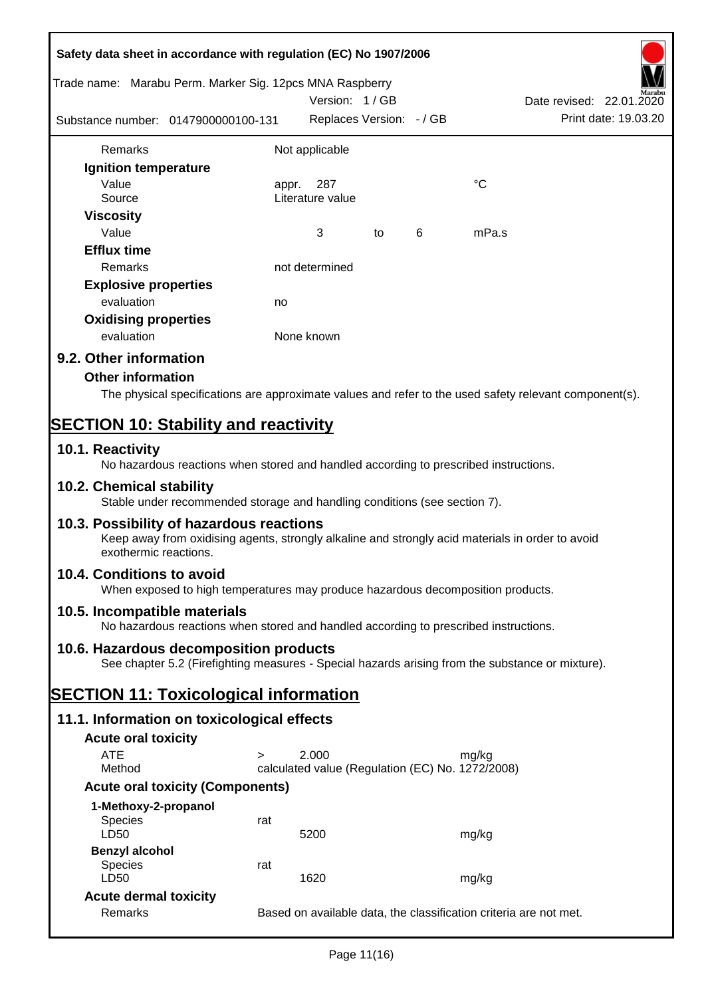| Safety data sheet in accordance with regulation (EC) No 1907/2006                                                                                                     |        |                                                  |    |   |                                                                                                        |
|-----------------------------------------------------------------------------------------------------------------------------------------------------------------------|--------|--------------------------------------------------|----|---|--------------------------------------------------------------------------------------------------------|
| Trade name: Marabu Perm. Marker Sig. 12pcs MNA Raspberry                                                                                                              |        | Version: 1/GB                                    |    |   | Date revised: 22.01.2020                                                                               |
| Substance number: 0147900000100-131                                                                                                                                   |        | Replaces Version: - / GB                         |    |   | Print date: 19.03.20                                                                                   |
| Remarks                                                                                                                                                               |        | Not applicable                                   |    |   |                                                                                                        |
| Ignition temperature                                                                                                                                                  |        |                                                  |    |   |                                                                                                        |
| Value                                                                                                                                                                 | appr.  | 287                                              |    |   | °C                                                                                                     |
| Source                                                                                                                                                                |        | Literature value                                 |    |   |                                                                                                        |
| <b>Viscosity</b>                                                                                                                                                      |        |                                                  |    |   |                                                                                                        |
| Value                                                                                                                                                                 |        | 3                                                | to | 6 | mPa.s                                                                                                  |
| <b>Efflux time</b>                                                                                                                                                    |        |                                                  |    |   |                                                                                                        |
| Remarks                                                                                                                                                               |        | not determined                                   |    |   |                                                                                                        |
| <b>Explosive properties</b>                                                                                                                                           |        |                                                  |    |   |                                                                                                        |
| evaluation                                                                                                                                                            | no     |                                                  |    |   |                                                                                                        |
| <b>Oxidising properties</b>                                                                                                                                           |        |                                                  |    |   |                                                                                                        |
| evaluation                                                                                                                                                            |        | None known                                       |    |   |                                                                                                        |
| 9.2. Other information                                                                                                                                                |        |                                                  |    |   |                                                                                                        |
| <b>Other information</b>                                                                                                                                              |        |                                                  |    |   |                                                                                                        |
|                                                                                                                                                                       |        |                                                  |    |   | The physical specifications are approximate values and refer to the used safety relevant component(s). |
|                                                                                                                                                                       |        |                                                  |    |   |                                                                                                        |
| <b>SECTION 10: Stability and reactivity</b>                                                                                                                           |        |                                                  |    |   |                                                                                                        |
| 10.1. Reactivity<br>No hazardous reactions when stored and handled according to prescribed instructions.                                                              |        |                                                  |    |   |                                                                                                        |
| 10.2. Chemical stability<br>Stable under recommended storage and handling conditions (see section 7).                                                                 |        |                                                  |    |   |                                                                                                        |
| 10.3. Possibility of hazardous reactions<br>Keep away from oxidising agents, strongly alkaline and strongly acid materials in order to avoid<br>exothermic reactions. |        |                                                  |    |   |                                                                                                        |
| 10.4. Conditions to avoid<br>When exposed to high temperatures may produce hazardous decomposition products.                                                          |        |                                                  |    |   |                                                                                                        |
| 10.5. Incompatible materials<br>No hazardous reactions when stored and handled according to prescribed instructions.                                                  |        |                                                  |    |   |                                                                                                        |
| 10.6. Hazardous decomposition products                                                                                                                                |        |                                                  |    |   |                                                                                                        |
| See chapter 5.2 (Firefighting measures - Special hazards arising from the substance or mixture).                                                                      |        |                                                  |    |   |                                                                                                        |
| <b>SECTION 11: Toxicological information</b>                                                                                                                          |        |                                                  |    |   |                                                                                                        |
| 11.1. Information on toxicological effects                                                                                                                            |        |                                                  |    |   |                                                                                                        |
| <b>Acute oral toxicity</b>                                                                                                                                            |        |                                                  |    |   |                                                                                                        |
| <b>ATE</b>                                                                                                                                                            | $\geq$ | 2.000                                            |    |   | mg/kg                                                                                                  |
| Method                                                                                                                                                                |        | calculated value (Regulation (EC) No. 1272/2008) |    |   |                                                                                                        |
| <b>Acute oral toxicity (Components)</b>                                                                                                                               |        |                                                  |    |   |                                                                                                        |
| 1-Methoxy-2-propanol                                                                                                                                                  |        |                                                  |    |   |                                                                                                        |
| Species                                                                                                                                                               | rat    |                                                  |    |   |                                                                                                        |
| LD50                                                                                                                                                                  |        | 5200                                             |    |   | mg/kg                                                                                                  |
| <b>Benzyl alcohol</b>                                                                                                                                                 |        |                                                  |    |   |                                                                                                        |
| Species<br>LD50                                                                                                                                                       | rat    | 1620                                             |    |   | mg/kg                                                                                                  |
| <b>Acute dermal toxicity</b>                                                                                                                                          |        |                                                  |    |   |                                                                                                        |
| Remarks                                                                                                                                                               |        |                                                  |    |   | Based on available data, the classification criteria are not met.                                      |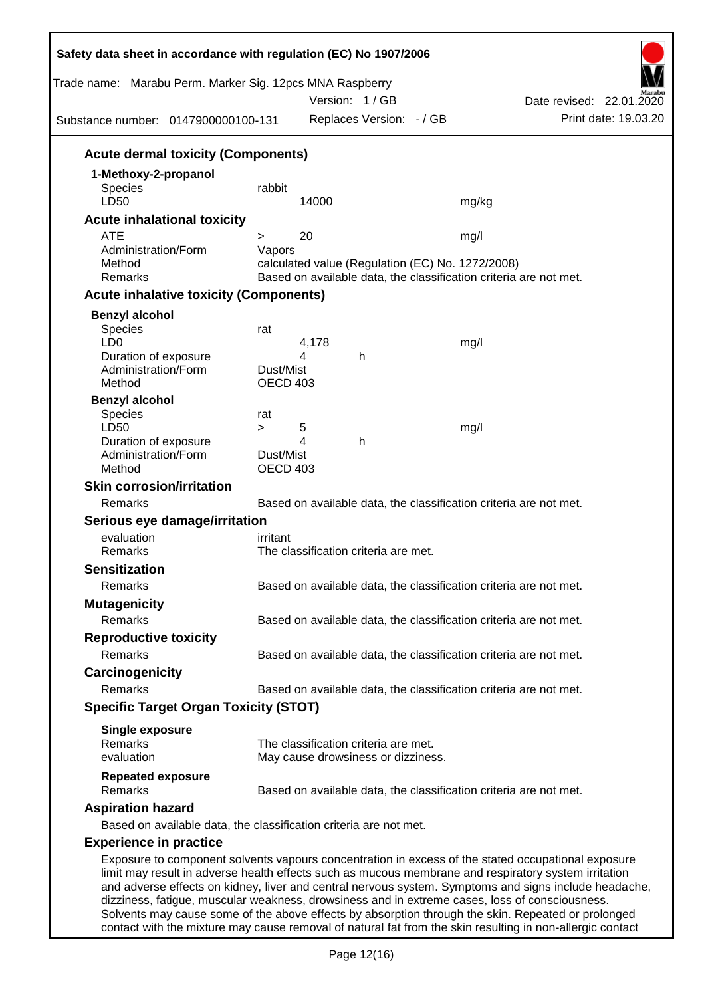| Trade name: Marabu Perm. Marker Sig. 12pcs MNA Raspberry<br>Substance number: 0147900000100-131 |                  |            | Version: 1 / GB<br>Replaces Version: - / GB | Date revised: 22.01.2020<br>Print date: 19.03.20                                                                                                                                                                                                                                                                                                                                                                      |  |
|-------------------------------------------------------------------------------------------------|------------------|------------|---------------------------------------------|-----------------------------------------------------------------------------------------------------------------------------------------------------------------------------------------------------------------------------------------------------------------------------------------------------------------------------------------------------------------------------------------------------------------------|--|
| <b>Acute dermal toxicity (Components)</b>                                                       |                  |            |                                             |                                                                                                                                                                                                                                                                                                                                                                                                                       |  |
| 1-Methoxy-2-propanol                                                                            |                  |            |                                             |                                                                                                                                                                                                                                                                                                                                                                                                                       |  |
| Species                                                                                         | rabbit           |            |                                             |                                                                                                                                                                                                                                                                                                                                                                                                                       |  |
| LD50                                                                                            |                  | 14000      |                                             | mg/kg                                                                                                                                                                                                                                                                                                                                                                                                                 |  |
| <b>Acute inhalational toxicity</b>                                                              |                  |            |                                             |                                                                                                                                                                                                                                                                                                                                                                                                                       |  |
| <b>ATE</b><br>Administration/Form                                                               | $\geq$<br>Vapors | 20         |                                             | mg/l                                                                                                                                                                                                                                                                                                                                                                                                                  |  |
| Method                                                                                          |                  |            |                                             | calculated value (Regulation (EC) No. 1272/2008)                                                                                                                                                                                                                                                                                                                                                                      |  |
| Remarks                                                                                         |                  |            |                                             | Based on available data, the classification criteria are not met.                                                                                                                                                                                                                                                                                                                                                     |  |
| <b>Acute inhalative toxicity (Components)</b>                                                   |                  |            |                                             |                                                                                                                                                                                                                                                                                                                                                                                                                       |  |
| <b>Benzyl alcohol</b>                                                                           |                  |            |                                             |                                                                                                                                                                                                                                                                                                                                                                                                                       |  |
| <b>Species</b>                                                                                  | rat              |            |                                             |                                                                                                                                                                                                                                                                                                                                                                                                                       |  |
| LD <sub>0</sub><br>Duration of exposure                                                         |                  | 4,178<br>4 | h                                           | mg/l                                                                                                                                                                                                                                                                                                                                                                                                                  |  |
| Administration/Form                                                                             | Dust/Mist        |            |                                             |                                                                                                                                                                                                                                                                                                                                                                                                                       |  |
| Method                                                                                          | OECD 403         |            |                                             |                                                                                                                                                                                                                                                                                                                                                                                                                       |  |
| <b>Benzyl alcohol</b>                                                                           |                  |            |                                             |                                                                                                                                                                                                                                                                                                                                                                                                                       |  |
| <b>Species</b>                                                                                  | rat              |            |                                             |                                                                                                                                                                                                                                                                                                                                                                                                                       |  |
| LD50<br>Duration of exposure                                                                    | $\geq$           | 5<br>4     | h                                           | mg/l                                                                                                                                                                                                                                                                                                                                                                                                                  |  |
| Administration/Form                                                                             | Dust/Mist        |            |                                             |                                                                                                                                                                                                                                                                                                                                                                                                                       |  |
| Method                                                                                          | OECD 403         |            |                                             |                                                                                                                                                                                                                                                                                                                                                                                                                       |  |
| <b>Skin corrosion/irritation</b>                                                                |                  |            |                                             |                                                                                                                                                                                                                                                                                                                                                                                                                       |  |
| Remarks                                                                                         |                  |            |                                             | Based on available data, the classification criteria are not met.                                                                                                                                                                                                                                                                                                                                                     |  |
| Serious eye damage/irritation                                                                   |                  |            |                                             |                                                                                                                                                                                                                                                                                                                                                                                                                       |  |
| evaluation                                                                                      | irritant         |            |                                             |                                                                                                                                                                                                                                                                                                                                                                                                                       |  |
| Remarks                                                                                         |                  |            | The classification criteria are met.        |                                                                                                                                                                                                                                                                                                                                                                                                                       |  |
| <b>Sensitization</b>                                                                            |                  |            |                                             |                                                                                                                                                                                                                                                                                                                                                                                                                       |  |
| Remarks                                                                                         |                  |            |                                             | Based on available data, the classification criteria are not met.                                                                                                                                                                                                                                                                                                                                                     |  |
| <b>Mutagenicity</b>                                                                             |                  |            |                                             |                                                                                                                                                                                                                                                                                                                                                                                                                       |  |
| Remarks                                                                                         |                  |            |                                             | Based on available data, the classification criteria are not met.                                                                                                                                                                                                                                                                                                                                                     |  |
| <b>Reproductive toxicity</b>                                                                    |                  |            |                                             |                                                                                                                                                                                                                                                                                                                                                                                                                       |  |
| Remarks                                                                                         |                  |            |                                             | Based on available data, the classification criteria are not met.                                                                                                                                                                                                                                                                                                                                                     |  |
| Carcinogenicity                                                                                 |                  |            |                                             |                                                                                                                                                                                                                                                                                                                                                                                                                       |  |
| Remarks                                                                                         |                  |            |                                             | Based on available data, the classification criteria are not met.                                                                                                                                                                                                                                                                                                                                                     |  |
| <b>Specific Target Organ Toxicity (STOT)</b>                                                    |                  |            |                                             |                                                                                                                                                                                                                                                                                                                                                                                                                       |  |
| <b>Single exposure</b>                                                                          |                  |            |                                             |                                                                                                                                                                                                                                                                                                                                                                                                                       |  |
| Remarks                                                                                         |                  |            | The classification criteria are met.        |                                                                                                                                                                                                                                                                                                                                                                                                                       |  |
| evaluation                                                                                      |                  |            | May cause drowsiness or dizziness.          |                                                                                                                                                                                                                                                                                                                                                                                                                       |  |
| <b>Repeated exposure</b><br>Remarks                                                             |                  |            |                                             |                                                                                                                                                                                                                                                                                                                                                                                                                       |  |
|                                                                                                 |                  |            |                                             | Based on available data, the classification criteria are not met.                                                                                                                                                                                                                                                                                                                                                     |  |
| <b>Aspiration hazard</b><br>Based on available data, the classification criteria are not met.   |                  |            |                                             |                                                                                                                                                                                                                                                                                                                                                                                                                       |  |
|                                                                                                 |                  |            |                                             |                                                                                                                                                                                                                                                                                                                                                                                                                       |  |
|                                                                                                 |                  |            |                                             |                                                                                                                                                                                                                                                                                                                                                                                                                       |  |
| <b>Experience in practice</b>                                                                   |                  |            |                                             | Exposure to component solvents vapours concentration in excess of the stated occupational exposure<br>limit may result in adverse health effects such as mucous membrane and respiratory system irritation<br>and adverse effects on kidney, liver and central nervous system. Symptoms and signs include headache,<br>dizziness, fatigue, muscular weakness, drowsiness and in extreme cases, loss of consciousness. |  |

Solvents may cause some of the above effects by absorption through the skin. Repeated or prolonged contact with the mixture may cause removal of natural fat from the skin resulting in non-allergic contact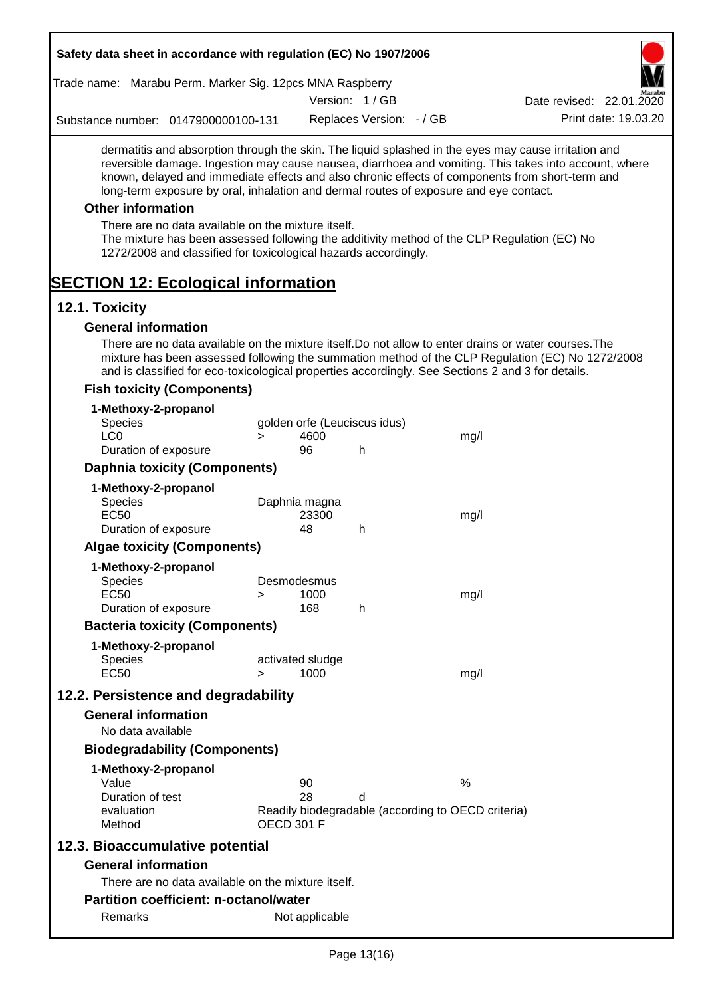| Trade name: Marabu Perm. Marker Sig. 12pcs MNA Raspberry                                                                                                                                                             |                   |                              |                              |                                                                                                                                                                                                                                                                                                                  |
|----------------------------------------------------------------------------------------------------------------------------------------------------------------------------------------------------------------------|-------------------|------------------------------|------------------------------|------------------------------------------------------------------------------------------------------------------------------------------------------------------------------------------------------------------------------------------------------------------------------------------------------------------|
|                                                                                                                                                                                                                      |                   |                              | Version: 1/GB                | Date revised: 22.01.2020                                                                                                                                                                                                                                                                                         |
| Substance number: 0147900000100-131                                                                                                                                                                                  |                   |                              | Replaces Version: - / GB     | Print date: 19.03.20                                                                                                                                                                                                                                                                                             |
| long-term exposure by oral, inhalation and dermal routes of exposure and eye contact.                                                                                                                                |                   |                              |                              | dermatitis and absorption through the skin. The liquid splashed in the eyes may cause irritation and<br>reversible damage. Ingestion may cause nausea, diarrhoea and vomiting. This takes into account, where<br>known, delayed and immediate effects and also chronic effects of components from short-term and |
| <b>Other information</b>                                                                                                                                                                                             |                   |                              |                              |                                                                                                                                                                                                                                                                                                                  |
| There are no data available on the mixture itself.<br>The mixture has been assessed following the additivity method of the CLP Regulation (EC) No<br>1272/2008 and classified for toxicological hazards accordingly. |                   |                              |                              |                                                                                                                                                                                                                                                                                                                  |
| <b>SECTION 12: Ecological information</b>                                                                                                                                                                            |                   |                              |                              |                                                                                                                                                                                                                                                                                                                  |
| 12.1. Toxicity                                                                                                                                                                                                       |                   |                              |                              |                                                                                                                                                                                                                                                                                                                  |
| <b>General information</b>                                                                                                                                                                                           |                   |                              |                              |                                                                                                                                                                                                                                                                                                                  |
| There are no data available on the mixture itself. Do not allow to enter drains or water courses. The<br>and is classified for eco-toxicological properties accordingly. See Sections 2 and 3 for details.           |                   |                              |                              | mixture has been assessed following the summation method of the CLP Regulation (EC) No 1272/2008                                                                                                                                                                                                                 |
| <b>Fish toxicity (Components)</b>                                                                                                                                                                                    |                   |                              |                              |                                                                                                                                                                                                                                                                                                                  |
| 1-Methoxy-2-propanol<br><b>Species</b><br>LC <sub>0</sub>                                                                                                                                                            | $\geq$            | 4600                         | golden orfe (Leuciscus idus) | mg/l                                                                                                                                                                                                                                                                                                             |
| Duration of exposure                                                                                                                                                                                                 |                   | 96                           | h                            |                                                                                                                                                                                                                                                                                                                  |
| <b>Daphnia toxicity (Components)</b>                                                                                                                                                                                 |                   |                              |                              |                                                                                                                                                                                                                                                                                                                  |
| 1-Methoxy-2-propanol<br>Species<br><b>EC50</b>                                                                                                                                                                       |                   | Daphnia magna<br>23300<br>48 |                              | mg/l                                                                                                                                                                                                                                                                                                             |
| Duration of exposure<br><b>Algae toxicity (Components)</b>                                                                                                                                                           |                   |                              | h                            |                                                                                                                                                                                                                                                                                                                  |
| 1-Methoxy-2-propanol                                                                                                                                                                                                 |                   |                              |                              |                                                                                                                                                                                                                                                                                                                  |
| Species<br><b>EC50</b><br>Duration of exposure                                                                                                                                                                       | $\geq$            | Desmodesmus<br>1000<br>168   | h                            | mg/l                                                                                                                                                                                                                                                                                                             |
| <b>Bacteria toxicity (Components)</b>                                                                                                                                                                                |                   |                              |                              |                                                                                                                                                                                                                                                                                                                  |
| 1-Methoxy-2-propanol<br><b>Species</b><br><b>EC50</b>                                                                                                                                                                | $\geq$            | activated sludge<br>1000     |                              | mg/l                                                                                                                                                                                                                                                                                                             |
| 12.2. Persistence and degradability                                                                                                                                                                                  |                   |                              |                              |                                                                                                                                                                                                                                                                                                                  |
| <b>General information</b>                                                                                                                                                                                           |                   |                              |                              |                                                                                                                                                                                                                                                                                                                  |
| No data available                                                                                                                                                                                                    |                   |                              |                              |                                                                                                                                                                                                                                                                                                                  |
| <b>Biodegradability (Components)</b>                                                                                                                                                                                 |                   |                              |                              |                                                                                                                                                                                                                                                                                                                  |
| 1-Methoxy-2-propanol                                                                                                                                                                                                 |                   |                              |                              |                                                                                                                                                                                                                                                                                                                  |
| Value                                                                                                                                                                                                                |                   | 90                           |                              | %                                                                                                                                                                                                                                                                                                                |
| Duration of test<br>evaluation<br>Method                                                                                                                                                                             | <b>OECD 301 F</b> | 28                           | d                            | Readily biodegradable (according to OECD criteria)                                                                                                                                                                                                                                                               |
| 12.3. Bioaccumulative potential                                                                                                                                                                                      |                   |                              |                              |                                                                                                                                                                                                                                                                                                                  |
| <b>General information</b>                                                                                                                                                                                           |                   |                              |                              |                                                                                                                                                                                                                                                                                                                  |
| There are no data available on the mixture itself.                                                                                                                                                                   |                   |                              |                              |                                                                                                                                                                                                                                                                                                                  |
| Partition coefficient: n-octanol/water                                                                                                                                                                               |                   |                              |                              |                                                                                                                                                                                                                                                                                                                  |
| Remarks                                                                                                                                                                                                              |                   | Not applicable               |                              |                                                                                                                                                                                                                                                                                                                  |
|                                                                                                                                                                                                                      |                   |                              | $D_{200}$ $12(16)$           |                                                                                                                                                                                                                                                                                                                  |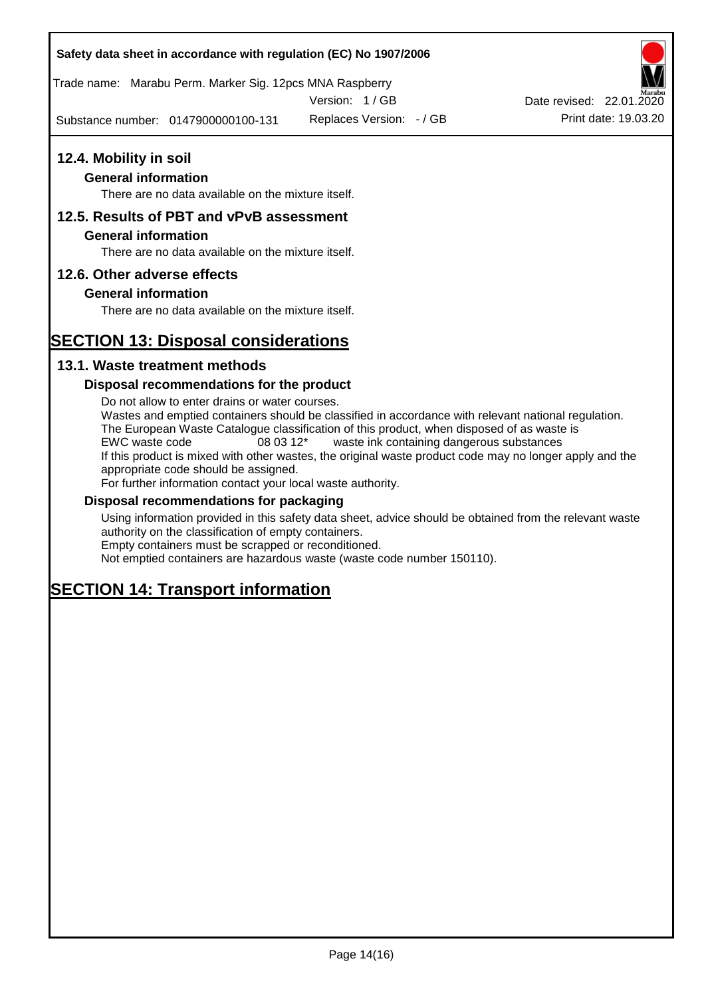Trade name: Marabu Perm. Marker Sig. 12pcs MNA Raspberry

Version: 1 / GB

Substance number: 0147900000100-131

Replaces Version: - / GB Print date: 19.03.20 Date revised: 22.01.2020

## **12.4. Mobility in soil**

## **General information**

There are no data available on the mixture itself.

## **12.5. Results of PBT and vPvB assessment**

#### **General information**

There are no data available on the mixture itself.

## **12.6. Other adverse effects**

## **General information**

There are no data available on the mixture itself.

# **SECTION 13: Disposal considerations**

## **13.1. Waste treatment methods**

## **Disposal recommendations for the product**

Do not allow to enter drains or water courses. Wastes and emptied containers should be classified in accordance with relevant national regulation. The European Waste Catalogue classification of this product, when disposed of as waste is EWC waste code 08 03 12\* waste ink containing dangerous substances If this product is mixed with other wastes, the original waste product code may no longer apply and the appropriate code should be assigned. For further information contact your local waste authority.

## **Disposal recommendations for packaging**

Using information provided in this safety data sheet, advice should be obtained from the relevant waste authority on the classification of empty containers. Empty containers must be scrapped or reconditioned.

Not emptied containers are hazardous waste (waste code number 150110).

# **SECTION 14: Transport information**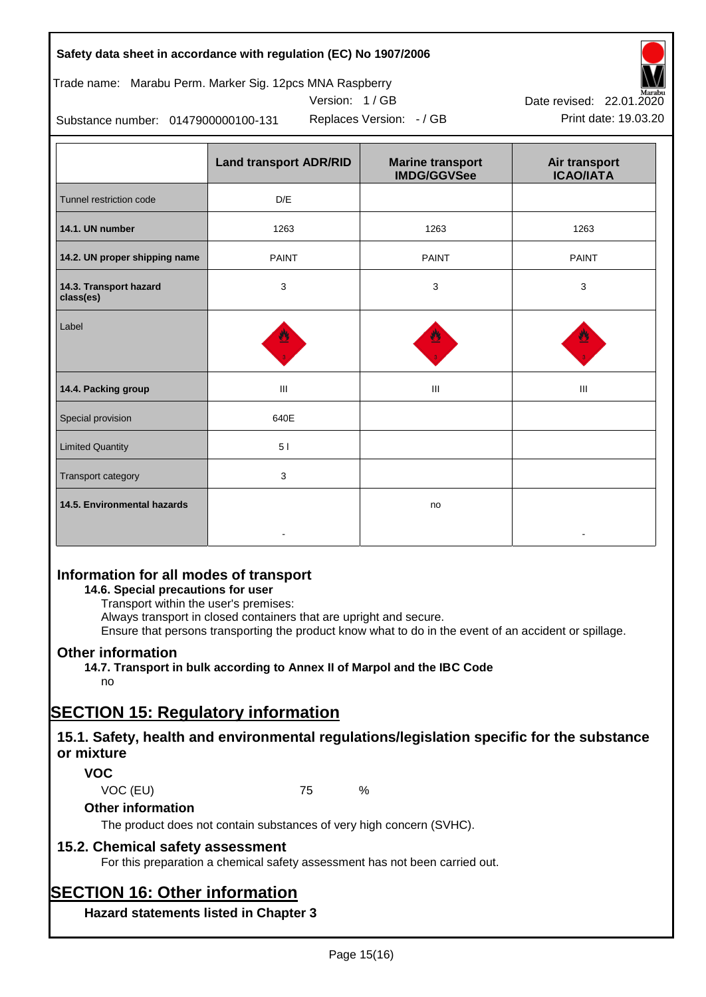| Safety data sheet in accordance with regulation (EC) No 1907/2006 |  |
|-------------------------------------------------------------------|--|
|-------------------------------------------------------------------|--|

## Trade name: Marabu Perm. Marker Sig. 12pcs MNA Raspberry



Replaces Version:  $-$  / GB Print date: 19.03.20 Date revised: 22.01.2020

Substance number: 0147900000100-131

|                                     | <b>Land transport ADR/RID</b> | <b>Marine transport</b><br><b>IMDG/GGVSee</b> | Air transport<br><b>ICAO/IATA</b> |
|-------------------------------------|-------------------------------|-----------------------------------------------|-----------------------------------|
| Tunnel restriction code             | D/E                           |                                               |                                   |
| 14.1. UN number                     | 1263                          | 1263                                          | 1263                              |
| 14.2. UN proper shipping name       | <b>PAINT</b>                  | <b>PAINT</b>                                  | <b>PAINT</b>                      |
| 14.3. Transport hazard<br>class(es) | 3                             | 3                                             | 3                                 |
| Label                               |                               |                                               |                                   |
| 14.4. Packing group                 | III                           | Ш                                             | Ш                                 |
| Special provision                   | 640E                          |                                               |                                   |
| <b>Limited Quantity</b>             | 51                            |                                               |                                   |
| Transport category                  | 3                             |                                               |                                   |
| 14.5. Environmental hazards         |                               | no                                            |                                   |

## **Information for all modes of transport**

## **14.6. Special precautions for user**

Transport within the user's premises:

Always transport in closed containers that are upright and secure.

Ensure that persons transporting the product know what to do in the event of an accident or spillage.

## **Other information**

**14.7. Transport in bulk according to Annex II of Marpol and the IBC Code**

# no

# **SECTION 15: Regulatory information**

## **15.1. Safety, health and environmental regulations/legislation specific for the substance or mixture**

## **VOC**

VOC (EU) 75 %

## **Other information**

The product does not contain substances of very high concern (SVHC).

## **15.2. Chemical safety assessment**

For this preparation a chemical safety assessment has not been carried out.

# **SECTION 16: Other information**

**Hazard statements listed in Chapter 3**